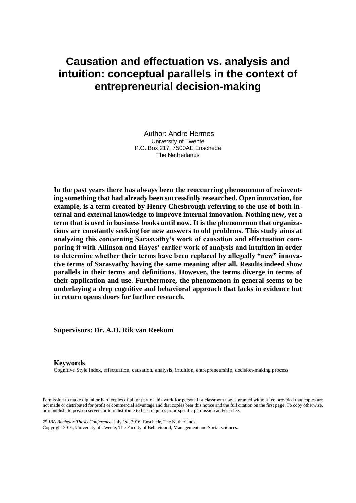# **Causation and effectuation vs. analysis and intuition: conceptual parallels in the context of entrepreneurial decision-making**

**Author: Andre Hermes University of Twente P.O. Box 217, 7500AE Enschede The Netherlands**

**In the past years there has always been the reoccurring phenomenon of reinventing something that had already been successfully researched. Open innovation, for example, is a term created by Henry Chesbrough referring to the use of both internal and external knowledge to improve internal innovation. Nothing new, yet a term that is used in business books until now. It is the phenomenon that organizations are constantly seeking for new answers to old problems. This study aims at analyzing this concerning Sarasvathy's work of causation and effectuation comparing it with Allinson and Hayes' earlier work of analysis and intuition in order to determine whether their terms have been replaced by allegedly "new" innovative terms of Sarasvathy having the same meaning after all. Results indeed show parallels in their terms and definitions. However, the terms diverge in terms of their application and use. Furthermore, the phenomenon in general seems to be underlaying a deep cognitive and behavioral approach that lacks in evidence but in return opens doors for further research.**

**Supervisors: Dr. A.H. Rik van Reekum**

#### **Keywords**

Cognitive Style Index, effectuation, causation, analysis, intuition, entrepreneurship, decision-making process

Permission to make digital or hard copies of all or part of this work for personal or classroom use is granted without fee provided that copies are not made or distributed for profit or commercial advantage and that copies bear this notice and the full citation on the first page. To copy otherwise, or republish, to post on servers or to redistribute to lists, requires prior specific permission and/or a fee.

*7 th IBA Bachelor Thesis Conference*, July 1st, 2016, Enschede, The Netherlands.

Copyright 2016, University of Twente, The Faculty of Behavioural, Management and Social sciences.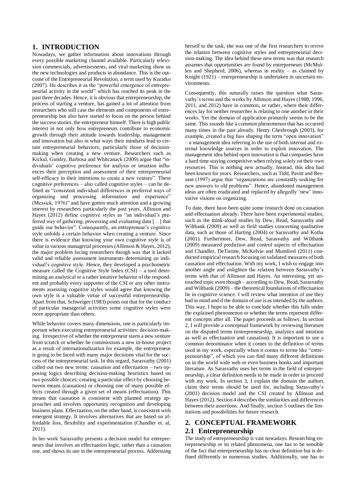### **1. INTRODUCTION**

Nowadays, we gather information about innovations through every possible marketing channel available. Particularly television commercials, advertisements, and viral marketing show us the new technologies and products in abundance. This is the outcome of the Entrepreneurial Revolution, a term used by Kuratko (2007). He describes it as the "powerful emergence of entrepreneurial activity in the world" which has reached its peak in the past three decades. Hence, it is obvious that entrepreneurship, the process of starting a venture, has gained a lot of attention from researchers who still case the elements and components of entrepreneurship but also have started to focus on the person behind the success stories: the entrepreneur himself. There is high public interest in not only how entrepreneurs contribute to economic growth through their attitude towards leadership, management and innovation but also in what ways their mindsets lead to certain entrepreneurial behaviors, particularly those of decisionmaking when creating a new venture. Researchers such as Kickul, Gundry, Barbosa and Whitcanack (2009) argue that "individuals' cognitive preference for analysis or intuition influences their perception and assessment of their entrepreneurial self-efficacy in their intentions to create a new venture". These cognitive preferences – also called cognitive styles – can be defined as "consistent individual differences in preferred ways of organizing and processing information and experience" (Messick, 1976)" and have gotten much attention and a growing interest by researchers particularly the past years. Allinson and Hayes (2012) define cognitive styles as "an individual's preferred way of gathering, processing and evaluating data […] that guide our behavior". Consequently, an entrepreneur's cognitive style unfolds a certain behavior when creating a venture. Since there is evidence that knowing your own cognitive style is of value in various managerial processes (Allinson & Hayes, 2012), the major problem facing researchers though was that it lacked valid and reliable assessment instruments determining an individual's cognitive style. Hence, they developed a psychometric measure called the Cognitive Style Index (CSI) – a tool determining an analytical or a rather intuitive behavior of the respondent and probably every supporter of the CSI or any other instruments assessing cognitive styles would agree that knowing the own style is a valuable virtue of successful entrepreneurship. Apart from that, Schweiger (1983) points out that for the conduct of particular managerial activities some cognitive styles were more appropriate than others.

While behavior covers many dimensions, one is particularly important when executing entrepreneurial activities: decision-making. Irrespective of whether the entrepreneur starts a new venture from scratch or whether he commissions a new in-house project as a result of internationalization for example, the entrepreneur is going to be faced with many major decisions vital for the success of the entrepreneurial task. In this regard, Sarasvathy (2001) called out two new terms: causation and effectuation – two opposing logics describing decision-making heuristics based on two possible choices: creating a particular effect by choosing between means (causation) or choosing one of many possible effects created through a given set of means (effectuation). This means that causation is consistent with planned strategy approaches and involves opportunity recognition and developing business plans. Effectuation, on the other hand, is consistent with emergent strategy. It involves alternatives that are based on affordable loss, flexibility and experimentation (Chandler et. al, 2011).

In her work Sarasvathy presents a decision model for entrepreneurs that involves an effectuation logic, rather than a causation one, and shows its use in the entrepreneurial process. Addressing herself to the task, she was one of the first researchers to revive the relation between cognitive styles and entrepreneurial decision-making. The idea behind these new terms was that research assumes that opportunities are found by entrepreneurs (McMullen and Shepherd, 2006), whereas in reality – as claimed by Knight (1921) – entrepreneurship is undertaken in uncertain environments.

Consequently, this naturally raises the question what Sarasvathy's terms and the works by Allinson and Hayes (1988, 1996, 2011, and 2012) have in common, or rather, where their differences lay for neither researcher is relating to one another in their works. Yet the domain of application primarily seems to be the same. This sounds like a common phenomenon that has occurred many times in the past already. Henry Chesbrough (2003), for example, created a big fuss shaping the term "open innovation" – a management idea referring to the use of both internal and external knowledge sources in order to exploit innovation. The management idea behind open innovation is that companies have a hard time staying competitive when relying solely on their own resources. This is nothing new actually. Instead, this idea had been known for years. Researchers, such as Tidd, Pavitt and Bessant (1997) argue that "organizations are constantly seeking for new answers to old problems". Hence, abandoned management ideas are often eradicated and replaced by allegedly 'new' innovative visions on organizing.

To date, there have been quite some research done on causation and effectuation already. There have been experimental studies, such as the think-aloud studies by Dew, Read, Sarasvathy and Wiltbank (2009) as well as field studies concerning qualitative data, such as those of Harting (2004) or Sarasvathy and Kotha (2001). Furthermore, Dew, Read, Sarasvathy and Wiltbank (2009) measured prediction and control aspects of effectuation and Chandler, DeTienne, McKelvie and Mumford (2011) conducted empirical research focusing on validated measures of both causation and effectuation. With my work, I wish to engage into another angle and enlighten the relation between Sarasvathy's terms with that of Allinson and Hayes. An interesting, yet untouched topic even though – according to Dew, Read, Sarasvathy and Wiltbank (2009) – the theoretical foundations of effectuation lie in cognitive science. I will review what intention of use they had in mind and if the domain of use is as intended by the authors. This way, I hope to be able to conclude whether this falls under the explained phenomenon or whether the terms represent different concepts after all. The paper proceeds as follows: In section 2, I will provide a conceptual framework by reviewing literature on the disputed terms (entrepreneurship, analytics and intuition as well as effectuation and causation). It is important to use a common denominator when it comes to the definition of terms used in my work, especially when it comes to terms like "entrepreneurship", of which you can find many different definitions on in the world wide web or even business books and important literature. As Sarasvathy uses her terms in the field of entrepreneurship, a clear definition needs to be made in order to proceed with my work. In section 3, I explain the domain the authors claim their terms should be used for, including Sarasvathy's (2001) decision model and the CSI created by Allinson and Hayes (2012). Section 4 describes the similarities and differences between their assertions. And finally, section 5 outlines the limitations and possibilities for future research.

## **2. CONCEPTUAL FRAMEWORK 2.1 Entrepreneurship**

The study of entrepreneurship is vast nowadays. Researching entrepreneurship or its related phenomena, one has to be sensible of the fact that entrepreneurship has no clear definition but is defined differently in numerous studies. Additionally, one has to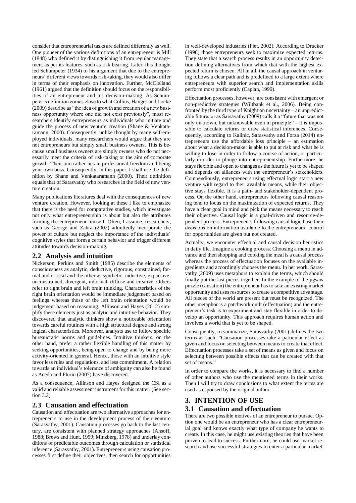consider that entrepreneurial tasks are defined differently as well. One pioneer of the various definitions of an entrepreneur is Mill (1848) who defined it by distinguishing it from regular management as per its features, such as risk bearing. Later, this thought led Schumpeter (1934) to his argument that due to the entrepreneurs' different views towards risk-taking, they would also differ in terms of their emphasis on innovation. Further, McClelland (1961) argued that the definition should focus on the responsibilities of an entrepreneur and his decision-making. As Schumpeter's definition comes close to what Collins, Hanges and Locke (2009) describe as "the idea of growth and creation of a new business opportunity where one did not exist previously", most researchers identify entrepreneurs as individuals who initiate and guide the process of new venture creation (Shane & Venkataramann, 2000). Consequently, unlike thought by many self-employed individuals, many researchers would argue that they are not entrepreneurs but simply small business owners. This is because small business owners are simply owners who do not necessarily meet the criteria of risk-taking or the aim of corporate growth. Their aim rather lies in professional freedom and being your own boss. Consequently, in this paper, I shall use the definition by Shane and Venkataramann (2000). Their definition equals that of Sarasvathy who researches in the field of new venture creation.

Many publications literatures deal with the consequences of new venture creation. However, looking at these I like to emphasize that there is the need for comparative studies, which investigate not only what entrepreneurship is about but also the attributes forming the entrepreneur himself. Often, I assume, researchers, such as George and Zahra (2002) admittedly incorporate the power of culture but neglect the importance of the individuals' cognitive styles that form a certain behavior and trigger different attitudes towards decision-making.

## **2.2 Analysis and intuition**

Nickerson, Perkins and Smith (1985) describe the elements of consciousness as analytic, deductive, rigorous, constrained, formal and critical and the other as synthetic, inductive, expansive, unconstrained, divergent, informal, diffuse and creative. Others refer to right brain and left brain thinking. Characteristics of the right brain orientation would be immediate judgement based on feelings whereas those of the left brain orientation would be judgement based on reasoning. Allinson and Hayes (2012) simplify these elements just as analytic and intuitive behavior. They discovered that analytic thinkers show a noticeable orientation towards careful routines with a high structural degree and strong logical characteristics. Moreover, analysts use to follow specific bureaucratic norms and guidelines. Intuitive thinkers, on the other hand, prefer a rather flexible handling of this matter by seeking opportunities, being open to change and by being more activity-oriented in general. Hence, those with an intuitive style favor less rules and regulations, and less commitment. A relation towards an individual's tolerance of ambiguity can also be found as Acedo and Florin (2007) have discovered.

As a consequence, Allinson and Hayes designed the CSI as a valid and reliable assessment instrument for this matter. (See section 3.2)

## **2.3 Causation and effectuation**

Causation and effectuation are two alternative approaches for entrepreneurs to use in the development process of their venture (Sarasvathy, 2001). Causation processes go back to the last century, are consistent with planned strategy approaches (Ansoff, 1988; Brews and Hunt, 1999; Minzberg, 1978) and underlay conditions of predictable outcomes through calculation or statistical inference (Sarasvathy, 2001). Entrepreneurs using causation processes first define their objectives, then search for opportunities

in well-developed industries (Fiet, 2002). According to Drucker (1998) those entrepreneurs seek to maximize expected returns. They state that a search process results in an opportunity detection defining alternatives from which that with the highest expected return is chosen. All in all, the causal approach in venturing follows a clear path and is predefined to a large extent where entrepreneurs with superior search and implementation skills perform most proficiently (Caplan, 1999).

Effectuation processes, however, are consistent with emergent or non-predictive strategies (Wiltbank et al., 2006). Being confronted by the third type of Knightian uncertainty – an unpredictable future, or as Sarsavathy (2009) calls it a "future that was not only unknown, but unknowable even in principle" – it is impossible to calculate returns or draw statistical inferences. Consequently, according to Kalinic, Sarasvathy and Forza (2014) entrepreneurs use the affordable loss principle – an estimation about what a decision-maker is able to put at risk and what he is willing to lose in order to follow a course of action, or particularly in order to plunge into entrepreneurship. Furthermore, he stays flexible and open to changes as the future is yet to be shaped and depends on alliances with the entrepreneur's stakeholders. Compendiously, entrepreneurs using effectual logic start a new venture with regard to their available means, while their objective stays flexible. It is a path- and stakeholder-dependent process. On the other hand, entrepreneurs following causal reasoning tend to focus on the maximization of expected returns. They have a clear goal in mind and pick the means necessary to reach their objective. Causal logic is a goal-driven and resource-dependent process. Entrepreneurs following causal logic base their decisions on information available to the entrepreneurs' control for opportunities are given but not created.

Actually, we encounter effectual and causal decision heuristics in daily life. Imagine a cooking process. Choosing a menu in advance and then shopping and cooking the meal is a causal process whereas the process of effectuation focuses on the available ingredients and accordingly chooses the menu. In her work, Sarasvathy (2009) uses metaphors to explain the terms, which should finally put the last pieces together. In the example of the jigsaw puzzle (causation) the entrepreneur has to take an existing market opportunity and uses resources to create a competitive advantage. All pieces of the world are present but must be recognized. The other metaphor is a patchwork quilt (effectuation) and the entrepreneur's task is to experiment and stay flexible in order to develop an opportunity. This approach requires human action and involves a world that is yet to be shaped.

Consequently, to summarize, Sarasvathy (2001) defines the two terms as such: "Causation processes take a particular effect as given and focus on selecting between means to create that effect. Effectuation processes take a set of means as given and focus on selecting between possible effects that can be created with that set of means."

In order to compare the works, it is necessary to find a number of other authors who use the mentioned terms in their works. Then I will try to draw conclusions to what extent the terms are used as espoused by the original author.

## **3. INTENTION OF USE**

#### **3.1 Causation and effectuation**

There are two possible motives of an entrepreneur to pursue. Option one would be an entrepreneur who has a clear entrepreneurial goal and knows exactly what type of company he wants to create. In this case, he might use existing theories that have been proven to lead to success. Furthermore, he could use market research and use successful strategies to enter a particular market.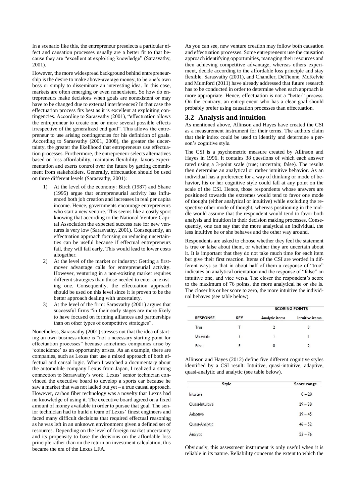In a scenario like this, the entrepreneur preselects a particular effect and causation processes usually are a better fit to that because they are "excellent at exploiting knowledge" (Sarasvathy, 2001).

However, the more widespread background behind entrepreneurship is the desire to make above-average money, to be one's own boss or simply to disseminate an interesting idea. In this case, markets are often emerging or even nonexistent. So how do entrepreneurs make decisions when goals are nonexistent or may have to be changed due to external interferences? In that case the effectuation process fits best as it is excellent at exploiting contingencies. According to Sarasvathy (2001), "effectuation allows the entrepreneur to create one or more several possible effects irrespective of the generalized end goal". This allows the entrepreneur to use arising contingencies for his definition of goals. According to Sarasvathy (2001, 2008), the greater the uncertainty, the greater the likelihood that entrepreneurs use effectuation processes. Furthermore, the entrepreneur selects alternatives based on loss affordability, maintains flexibility, favors experimentation and exerts control over the future by getting commitment from stakeholders. Generally, effectuation should be used on three different levels (Sarasvathy, 2001):

- 1) At the level of the economy: Birch (1987) and Shane (1995) argue that entrepreneurial activity has influenced both job creation and increases in real per capita income. Hence, governments encourage entrepreneurs who start a new venture. This seems like a costly sport knowing that according to the National Venture Capital Association the expected success rate for new ventures is very low (Sarasvathy, 2001). Consequently, an effectuation approach focusing on reducing uncertainties can be useful because if effectual entrepreneurs fail, they will fail early. This would lead to lower costs altogether.
- 2) At the level of the market or industry: Getting a firstmover advantage calls for entrepreneurial activity. However, venturing in a non-existing market requires different strategies than those needed to enter an existing one. Consequently, the effectuation approach should be used on this level since it is proven to be the better approach dealing with uncertainty.
- 3) At the level of the firm: Sarasvathy (2001) argues that successful firms "in their early stages are more likely to have focused on forming alliances and partnerships than on other types of competitive strategies".

Nonetheless, Sarasvathy (2001) stresses out that the idea of starting an own business alone is "not a necessary starting point for effectuation processes" because sometimes companies arise by 'coincidence' as an opportunity arises. As an example, there are companies, such as Lexus that use a mixed approach of both effectual and causal logic. When I watched a documentary about the automobile company Lexus from Japan, I realized a strong connection to Sarasvathy's work. Lexus' senior technician convinced the executive board to develop a sports car because he saw a market that was not ladled out yet – a true causal approach. However, carbon fiber technology was a novelty that Lexus had no knowledge of using it. The executive board agreed on a fixed amount of money available in order to pursue that goal. The senior technician had to build a team of Lexus' finest engineers and faced many difficult decisions that required effectual reasoning as he was left in an unknown environment given a defined set of resources. Depending on the level of foreign market uncertainty and its propensity to base the decisions on the affordable loss principle rather than on the return on investment calculation, this became the era of the Lexus LFA.

As you can see, new venture creation may follow both causation and effectuation processes. Some entrepreneurs use the causation approach identifying opportunities, managing their resources and then achieving competitive advantage, whereas others experiment, decide according to the affordable loss principle and stay flexible. Sarasvathy (2001), and Chandler, DeTienne, McKelvie and Mumford (2011) have already addressed that future research has to be conducted in order to determine when each approach is more appropriate. Hence, effectuation is not a "better" process. On the contrary, an entrepreneur who has a clear goal should probably prefer using causation processes than effectuation.

#### **3.2 Analysis and intuition**

As mentioned above, Allinson and Hayes have created the CSI as a measurement instrument for their terms. The authors claim that their index could be used to identify and determine a person's cognitive style.

The CSI is a psychometric measure created by Allinson and Hayes in 1996. It contains 38 questions of which each answer rated using a 3-point scale (true; uncertain; false). The results then determine an analytical or rather intuitive behavior. As an individual has a preference for a way of thinking or mode of behavior, his or her cognitive style could fall at any point on the scale of the CSI. Hence, those respondents whose answers are positioned towards the extremes would tend to favor one mode of thought (either analytical or intuitive) while excluding the respective other mode of thought, whereas positioning in the middle would assume that the respondent would tend to favor both analysis and intuition in their decision making processes. Consequently, one can say that the more analytical an individual, the less intuitive he or she behaves and the other way around.

Respondents are asked to choose whether they feel the statement is true or false about them, or whether they are uncertain about it. It is important that they do not take much time for each item but give their first reaction. Items of the CSI are worded in different ways so that in about half of them a response of "true" indicates an analytical orientation and the response of "false" an intuitive one, and vice versa. The closer the respondent's score to the maximum of 76 points, the more analytical he or she is. The closer his or her score to zero, the more intuitive the individual behaves (see table below).

|       | <b>RESPONSE</b> | <b>KEY</b> | <b>SCORING POINTS</b> |                 |
|-------|-----------------|------------|-----------------------|-----------------|
|       |                 |            | Analytic items        | Intuitive items |
| True  |                 |            | 2                     | 0               |
|       | Uncertain       |            |                       |                 |
| False |                 |            |                       |                 |

Allinson and Hayes (2012) define five different cognitive styles identified by a CSI result: Intuitive, quasi-intuitive, adaptive, quasi-analytic and analytic (see table below).

| Style           | Score range |  |
|-----------------|-------------|--|
| Intuitive       | $0 - 28$    |  |
| Quasi-Intuitive | $29 - 38$   |  |
| Adaptive        | $39 - 45$   |  |
| Quasi-Analytic  | $46 - 52$   |  |
| Analytic        | $53 - 76$   |  |

Obviously, this assessment instrument is only useful when it is reliable in its nature. Reliability concerns the extent to which the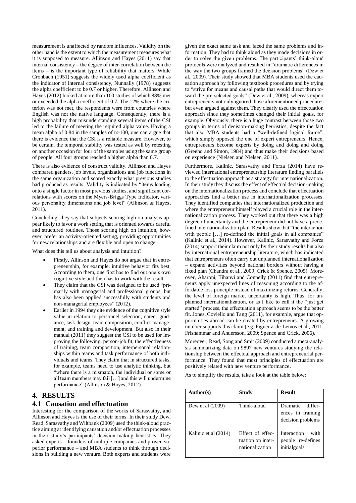measurement is unaffected by random influences. Validity on the other hand is the extent to which the measurement measures what it is supposed to measure. Allinson and Hayes (2011) say that internal consistency – the degree of inter-correlation between the items – is the important type of reliability that matters. While Cronbach (1951) suggests the widely used alpha coefficient as the indicator of internal consistency, Nunnally (1978) suggests the alpha coefficient to be 0.7 or higher. Therefore, Allinson and Hayes (2012) looked at more than 100 studies of which 88% met or exceeded the alpha coefficient of 0.7. The 12% where the criterion was not met, the respondents were from countries where English was not the native language. Consequently, there is a high probability that misunderstanding several items of the CSI led to the failure of meeting the required alpha value. Having a mean alpha of 0.84 in the samples of n>100, one can argue that there is evidence that the CSI is a reliable measure. However, to be certain, the temporal stability was tested as well by retesting on another occasion for four of the samples using the same group of people. All four groups reached a higher alpha than 0.7.

There is also evidence of construct validity. Allinson and Hayes compared genders, job levels, organizations and job functions in the same organization and scored exactly what previous studies had produced as results. Validity is indicated by "items loading onto a single factor in most previous studies, and significant correlations with scores on the Myers-Briggs Type Indicator, various personality dimensions and job level" (Allinson & Hayes, 2011).

Concluding, they say that subjects scoring high on analysis appear likely to favor a work setting that is oriented towards careful and structured routines. Those scoring high on intuition, however, prefer an activity-oriented setting, providing opportunities for new relationships and are flexible and open to change.

What does this tell us about analysis and intuition?

- Firstly, Allinson and Hayes do not argue that in entrepreneurship, for example, intuitive behavior fits best. According to them, one first has to find out one's own cognitive style and then has to work with the result.
- They claim that the CSI was designed to be used "primarily with managerial and professional groups, but has also been applied successfully with students and non-managerial employees" (2012).
- Earlier in 1994 they cite evidence of the cognitive style value in relation to personnel selection, career guidance, task design, team composition, conflict management, and training and development. But also in their manual (2011) they suggest the CSI to be used for improving the following: person-job fit, the effectiveness of training, team composition, interpersonal relationships within teams and task performance of both individuals and teams. They claim that in structured tasks, for example, teams need to use analytic thinking, but "where there is a mismatch, the individual or some or all team members may fail […] and this will undermine performance" (Allinson & Hayes, 2012).

#### **4. RESULTS**

#### **4.1 Causation and effectuation**

Interesting for the comparison of the works of Sarasvathy, and Allinson and Hayes is the use of their terms. In their study Dew, Read, Sarasvathy and Wiltbank (2009) used the think-aloud practice aiming at identifying causation and/or effectuation processes in their study's participants' decision-making heuristics. They asked experts – founders of multiple companies and proven superior performance – and MBA students to think through decisions in building a new venture. Both experts and students were

given the exact same task and faced the same problems and information. They had to think aloud as they made decisions in order to solve the given problems. The participants' think-aloud protocols were analyzed and resulted in "dramatic differences in the way the two groups framed the decision problems" (Dew et al., 2009). Their study showed that MBA students used the causation approach by following textbook procedures and by trying to "strive for means and causal paths that would direct them toward the pre-selected goals" (Dew et al., 2009), whereas expert entrepreneurs not only ignored those aforementioned procedures but even argued against them. They clearly used the effectuation approach since they sometimes changed their initial goals, for example. Obviously, there is a huge contrast between those two groups in terms of decision-making heuristics, despite the fact that also MBA students had a "well-defined logical frame", which simply opposed the one of expert entrepreneurs. Hence, entrepreneurs become experts by doing and doing and doing (Greeno and Simon, 1984) and thus make their decisions based on experience (Nielsen and Nielsen, 2011).

Furthermore, Kalinic, Sarasvathy and Forza (2014) have reviewed international entrepreneurship literature finding parallels to the effectuation approach as a strategy for internationalization. In their study they discuss the effect of effectual decision-making on the internationalization process and conclude that effectuation approaches find a better use in internationalization processes. They identified companies that internationalized production and where the entrepreneur himself played a crucial role in the internationalization process. They worked out that there was a high degree of uncertainty and the entrepreneur did not have a predefined internationalization plan. Results show that "the interaction with people [...] re-defined the initial goals in all companies" (Kalinic et al., 2014). However, Kalinic, Sarasvathy and Forza (2014) support their claim not only by their study results but also by international entrepreneurship literature, which has indicated that entrepreneurs often carry out unplanned internationalization – expand activities beyond national borders without having a fixed plan (Chandra et al., 2009; Crick & Spence, 2005). Moreover, Aharoni, Tihanyi and Connelly (2011) find that entrepreneurs apply unexpected lines of reasoning according to the affordable loss principle instead of maximizing returns. Generally, the level of foreign market uncertainty is high. Thus, for unplanned internationalization, or as I like to call it the "just get started" process, the effectuation approach seems to be the better fit. Jones, Coviello and Tang (2011), for example, argue that opportunities abroad can be created by entrepreneurs. A growing number supports this claim (e.g. Figueira-de-Lemos et al., 2011; Frishammar and Andersson, 2009; Spence and Crick, 2006).

Moreover, Read, Song and Smit (2009) conducted a meta-analysis summarizing data on 9897 new ventures studying the relationship between the effectual approach and entrepreneurial performance. They found that most principles of effectuation are positively related with new venture performance.

As to simplify the results, take a look at the table below:

| Author(s)            | Study                                                    | <b>Result</b>                                             |
|----------------------|----------------------------------------------------------|-----------------------------------------------------------|
| Dew et al (2009)     | Think-aloud                                              | Dramatic differ-<br>ences in framing<br>decision problems |
| Kalinic et al (2014) | Effect of effec-<br>tuation on inter-<br>nationalization | Interaction<br>with<br>people re-defines<br>initialgoals  |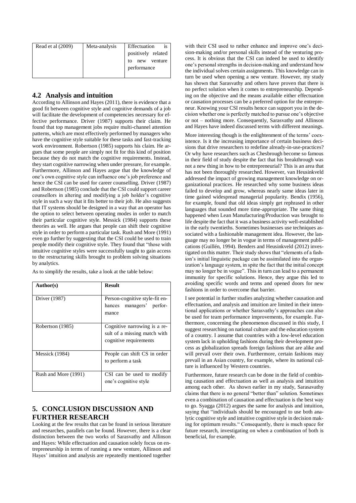| Read et al (2009) | Meta-analysis | Effectuation<br><i>is</i> |
|-------------------|---------------|---------------------------|
|                   |               | positively related        |
|                   |               | new venture<br>tο         |
|                   |               | performance               |
|                   |               |                           |

## **4.2 Analysis and intuition**

According to Allinson and Hayes (2011), there is evidence that a good fit between cognitive style and cognitive demands of a job will facilitate the development of competencies necessary for effective performance. Driver (1987) supports their claim. He found that top management jobs require multi-channel attention patterns, which are most effectively performed by managers who have the cognitive style suitable for these tasks and fast-tracking work environment. Robertson (1985) supports his claim. He argues that some people are simply not fit for this kind of position because they do not match the cognitive requirements. Instead, they start cognitive narrowing when under pressure, for example. Furthermore, Allinson and Hayes argue that the knowledge of one's own cognitive style can influence one's job preference and hence the CSI can be used for career counselling. Driver (1987) and Robertson (1985) conclude that the CSI could support career counsellors in altering and modifying a job holder's cognitive style in such a way that it fits better to their job. He also suggests that IT systems should be designed in a way that an operator has the option to select between operating modes in order to match their particular cognitive style. Messick (1984) supports these theories as well. He argues that people can shift their cognitive style in order to perform a particular task. Rush and More (1991) even go further by suggesting that the CSI could be used to train people modify their cognitive style. They found that "those with intuitive cognitive styles were successfully taught to gain access to the restructuring skills brought to problem solving situations by analytics.

As to simplify the results, take a look at the table below:

| Author(s)            | <b>Result</b>                                                                          |
|----------------------|----------------------------------------------------------------------------------------|
| Driver (1987)        | Person-cognitive style-fit en-<br>hances managers' perfor-<br>mance                    |
| Robertson (1985)     | Cognitive narrowing is a re-<br>sult of a missing match with<br>cognitive requirements |
| Messick (1984)       | People can shift CS in order<br>to perform a task                                      |
| Rush and More (1991) | CSI can be used to modify<br>one's cognitive style                                     |

# **5. CONCLUSION DISCUSSION AND FURTHER RESEARCH**

Looking at the few results that can be found in serious literature and researches, parallels can be found. However, there is a clear distinction between the two works of Sarasvathy and Allinson and Hayes: While effectuation and causation solely focus on entrepreneurship in terms of running a new venture, Allinson and Hayes' intuition and analysis are repeatedly mentioned together

with their CSI used to rather enhance and improve one's decision-making and/or personal skills instead of the venturing process. It is obvious that the CSI can indeed be used to identify one's personal strengths in decision-making and understand how the individual solves certain assignments. This knowledge can in turn be used when opening a new venture. However, my study has shown that Sarasvathy and others have proven that there is no perfect solution when it comes to entrepreneurship. Depending on the objective and the means available either effectuation or causation processes can be a preferred option for the entrepreneur. Knowing your CSI results hence can support you in the decision whether one is perfectly matched to pursue one's objective or not – nothing more. Consequently, Sarasvathy and Allinson and Hayes have indeed discussed terms with different meanings.

More interesting though is the enlightenment of the terms' coexistence. Is it the increasing importance of certain business decisions that drive researchers to redefine already-in-use-practices? Or why have researchers such as Chesbrough become so famous in their field of study despite the fact that his breakthrough was not a new thing in how to be entrepreneurial? This is an area that has not been thoroughly researched. However, van Heusinkveld addressed the impact of growing management knowledge on organizational practices. He researched why some business ideas failed to develop and grow, whereas nearly same ideas later in time gained widespread managerial popularity. Bendix (1956), for example, found that old ideas simply get rephrased in other languages that sounded more time-appropriate. The same thing happened when Lean Manufacturing/Production was brought to life despite the fact that it was a business activity well-established in the early twentieths. Sometimes businesses use techniques associated with a fashionable management idea. However, the language may no longer be in vogue in terms of management publications (Guillén, 1994). Benders and Heusinkveld (2012) investigated on this matter. Their study shows that "elements of a fashion's initial linguistic package can be assimilated into the organization's language system, in spite the fact that the initial concept may no longer be in vogue". This in turn can lead to a permanent immunity for specific solutions. Hence, they argue this led to avoiding specific words and terms and opened doors for new fashions in order to overcome that barrier.

I see potential in further studies analyzing whether causation and effectuation, and analysis and intuition are limited in their intentional applications or whether Sarasvathy's approaches can also be used for team performance improvements, for example. Furthermore, concerning the phenomenon discussed in this study, I suggest researching on national culture and the education system of a country. I assume that countries with a low-level education system lack in upholding fashions during their development process as globalization spreads foreign fashions that are alike and will prevail over their own. Furthermore, certain fashions may prevail in an Asian country, for example, where its national culture is influenced by Western countries.

Furthermore, future research can be done in the field of combining causation and effectuation as well as analysis and intuition among each other. As shown earlier in my study, Sarasavathy claims that there is no general "better than" solution. Sometimes even a combination of causation and effectuation is the best way to go. Syagga (2012) argues the same for analysis and intuition, saying that "individuals should be encouraged to use both analytic cognitive style and intuitive cognitive style in decision making for optimum results." Consequently, there is much space for future research, investigating on when a combination of both is beneficial, for example.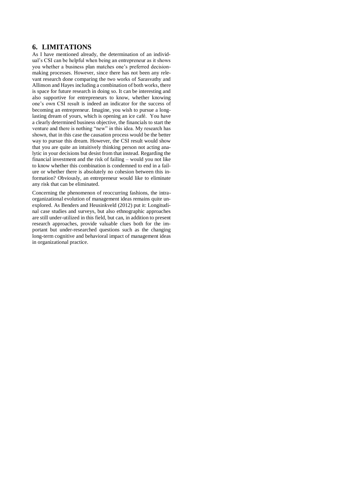## **6. LIMITATIONS**

As I have mentioned already, the determination of an individual's CSI can be helpful when being an entrepreneur as it shows you whether a business plan matches one's preferred decisionmaking processes. However, since there has not been any relevant research done comparing the two works of Sarasvathy and Allinson and Hayes including a combination of both works, there is space for future research in doing so. It can be interesting and also supportive for entrepreneurs to know, whether knowing one's own CSI result is indeed an indicator for the success of becoming an entrepreneur. Imagine, you wish to pursue a longlasting dream of yours, which is opening an ice café. You have a clearly determined business objective, the financials to start the venture and there is nothing "new" in this idea. My research has shown, that in this case the causation process would be the better way to pursue this dream. However, the CSI result would show that you are quite an intuitively thinking person not acting analytic in your decisions but desist from that instead. Regarding the financial investment and the risk of failing – would you not like to know whether this combination is condemned to end in a failure or whether there is absolutely no cohesion between this information? Obviously, an entrepreneur would like to eliminate any risk that can be eliminated.

Concerning the phenomenon of reoccurring fashions, the intraorganizational evolution of management ideas remains quite unexplored. As Benders and Heusinkveld (2012) put it: Longitudinal case studies and surveys, but also ethnographic approaches are still under-utilized in this field, but can, in addition to present research approaches, provide valuable clues both for the important but under-researched questions such as the changing long-term cognitive and behavioral impact of management ideas in organizational practice.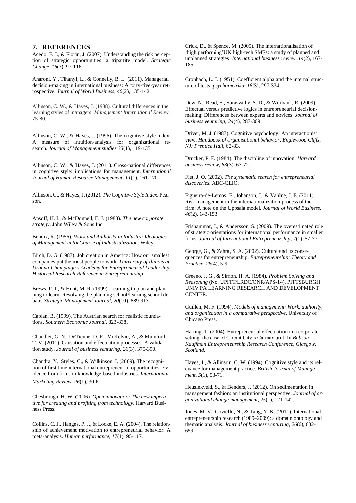#### **7. REFERENCES**

Acedo, F. J., & Florin, J. (2007). Understanding the risk perception of strategic opportunities: a tripartite model. *Strategic Change*, *16*(3), 97-116.

Aharoni, Y., Tihanyi, L., & Connelly, B. L. (2011). Managerial decision-making in international business: A forty-five-year retrospective. *Journal of World Business*, *46*(2), 135-142.

Allinson, C. W., & Hayes, J. (1988). Cultural differences in the learning styles of managers. *Management International Review*, 75-80.

Allinson, C. W., & Hayes, J. (1996). The cognitive style index: A measure of intuition‐analysis for organizational research. *Journal of Management studies 33*(1), 119-135.

Allinson, C. W., & Hayes, J. (2011). Cross-national differences in cognitive style: implications for management. *International Journal of Human Resource Management*, *11*(1), 161-170.

Allinson, C., & Hayes, J. (2012). *The Cognitive Style Index*. Pearson.

Ansoff, H. I., & McDonnell, E. J. (1988). *The new corporate strategy*. John Wiley & Sons Inc.

Bendix, R. (1956). *Work and Authority in Industry: Ideologies of Management in theCourse of Industrialization*. Wiley.

Birch, D. G. (1987). Job creation in America: How our smallest companies put the most people to work. *University of Illinois at Urbana-Champaign's Academy for Entrepreneurial Leadership Historical Research Reference in Entrepreneurship*.

Brews, P. J., & Hunt, M. R. (1999). Learning to plan and planning to learn: Resolving the planning school/learning school debate. *Strategic Management Journal*, *20*(10), 889-913.

Caplan, B. (1999). The Austrian search for realistic foundations. *Southern Economic Journal*, 823-838.

Chandler, G. N., DeTienne, D. R., McKelvie, A., & Mumford, T. V. (2011). Causation and effectuation processes: A validation study. *Journal of business venturing*, *26*(3), 375-390.

Chandra, Y., Styles, C., & Wilkinson, I. (2009). The recognition of first time international entrepreneurial opportunities: Evidence from firms in knowledge-based industries. *International Marketing Review*, *26*(1), 30-61.

Chesbrough, H. W. (2006). *Open innovation: The new imperative for creating and profiting from technology*. Harvard Business Press.

Collins, C. J., Hanges, P. J., & Locke, E. A. (2004). The relationship of achievement motivation to entrepreneurial behavior: A meta-analysis. *Human performance*, *17*(1), 95-117.

Crick, D., & Spence, M. (2005). The internationalisation of 'high performing'UK high-tech SMEs: a study of planned and unplanned strategies. *International business review*, *14*(2), 167- 185.

Cronbach, L. J. (1951). Coefficient alpha and the internal structure of tests. *psychometrika*, *16*(3), 297-334.

Dew, N., Read, S., Sarasvathy, S. D., & Wiltbank, R. (2009). Effectual versus predictive logics in entrepreneurial decisionmaking: Differences between experts and novices. *Journal of business venturing*, *24*(4), 287-309.

Driver, M. J. (1987). Cognitive psychology: An interactionist view. *Handbook of organisational behavior, Englewood Cliffs, NJ: Prentice Hall*, 62-83.

Drucker, P. F. (1984). The discipline of innovation. *Harvard business review*, *63*(3), 67-72.

Fiet, J. O. (2002). *The systematic search for entrepreneurial discoveries*. ABC-CLIO.

Figueira-de-Lemos, F., Johanson, J., & Vahlne, J. E. (2011). Risk management in the internationalization process of the firm: A note on the Uppsala model. *Journal of World Business*, *46*(2), 143-153.

Frishammar, J., & Andersson, S. (2009). The overestimated role of strategic orientations for international performance in smaller firms. *Journal of International Entrepreneurship*, *7*(1), 57-77.

George, G., & Zahra, S. A. (2002). Culture and its consequences for entrepreneurship. *Entrepreneurship: Theory and Practice*, *26*(4), 5-9.

Greeno, J. G., & Simon, H. A. (1984). *Problem Solving and Reasoning* (No. UPITT/LRDC/ONR/APS-14). PITTSBURGH UNIV PA LEARNING RESEARCH AND DEVELOPMENT CENTER.

Guillén, M. F. (1994). *Models of management: Work, authority, and organization in a comparative perspective*. University of Chicago Press.

Harting, T. (2004). Entrepreneurial effectuation in a corporate setting: the case of Circuit City's Carmax unit. In *Babson Kauffman Entrepreneurship Research Conference, Glasgow, Scotland*.

Hayes, J., & Allinson, C. W. (1994). Cognitive style and its relevance for management practice. *British Journal of Management*, *5*(1), 53-71.

Heusinkveld, S., & Benders, J. (2012). On sedimentation in management fashion: an institutional perspective. *Journal of organizational change management*, *25*(1), 121-142.

Jones, M. V., Coviello, N., & Tang, Y. K. (2011). International entrepreneurship research (1989–2009): a domain ontology and thematic analysis. *Journal of business venturing*, *26*(6), 632- 659.